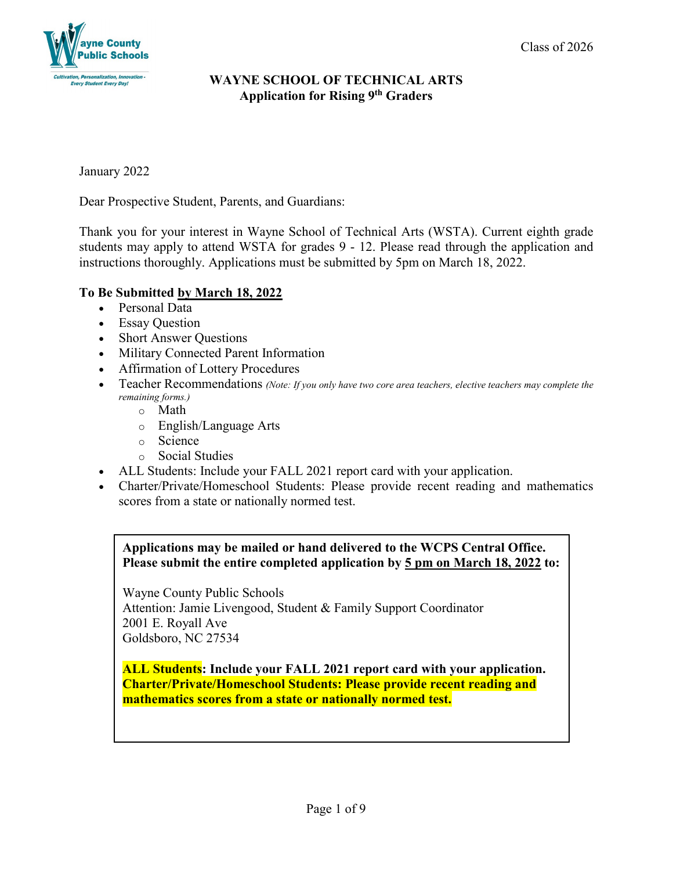

January 2022

Dear Prospective Student, Parents, and Guardians:

Thank you for your interest in Wayne School of Technical Arts (WSTA). Current eighth grade students may apply to attend WSTA for grades 9 - 12. Please read through the application and instructions thoroughly. Applications must be submitted by 5pm on March 18, 2022.

# **To Be Submitted by March 18, 2022**

- Personal Data
- Essay Question
- Short Answer Questions
- Military Connected Parent Information
- Affirmation of Lottery Procedures
- Teacher Recommendations *(Note: If you only have two core area teachers, elective teachers may complete the remaining forms.)*
	- o Math
	- o English/Language Arts
	- o Science
	- o Social Studies
- ALL Students: Include your FALL 2021 report card with your application.
- Charter/Private/Homeschool Students: Please provide recent reading and mathematics scores from a state or nationally normed test.

**Applications may be mailed or hand delivered to the WCPS Central Office. Please submit the entire completed application by 5 pm on March 18, 2022 to:**

Wayne County Public Schools Attention: Jamie Livengood, Student & Family Support Coordinator 2001 E. Royall Ave Goldsboro, NC 27534

**ALL Students: Include your FALL 2021 report card with your application. Charter/Private/Homeschool Students: Please provide recent reading and mathematics scores from a state or nationally normed test.**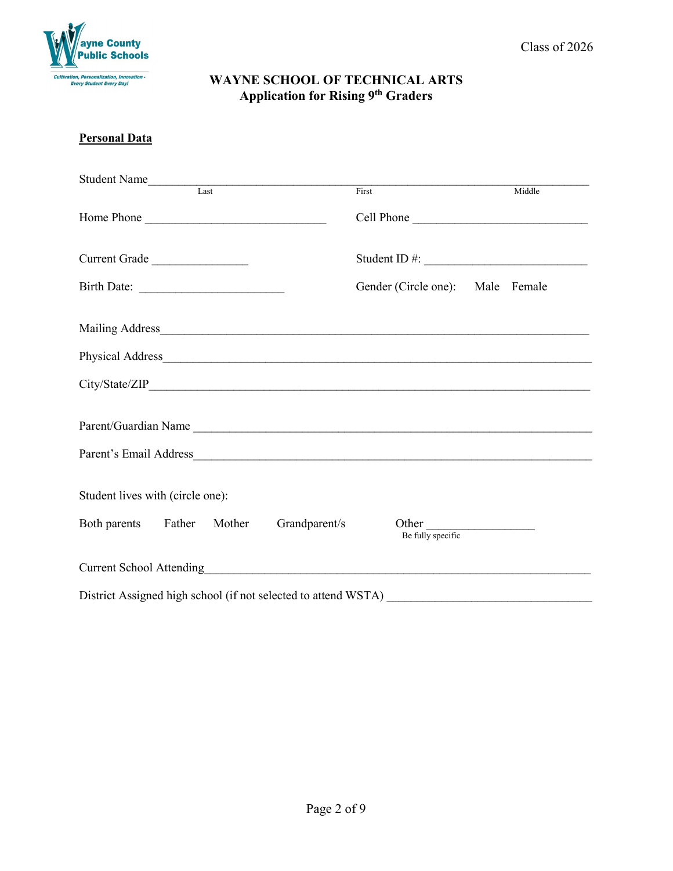

#### **Personal Data**

| Student Name<br>Last                     | First                            | Middle     |
|------------------------------------------|----------------------------------|------------|
| Home Phone                               |                                  | Cell Phone |
| Current Grade                            |                                  |            |
| Birth Date:                              | Gender (Circle one): Male Female |            |
|                                          |                                  |            |
|                                          |                                  |            |
|                                          |                                  |            |
| Parent/Guardian Name                     |                                  |            |
|                                          |                                  |            |
| Student lives with (circle one):         |                                  |            |
| Both parents Father Mother Grandparent/s | Other<br>Be fully specific       |            |
|                                          |                                  |            |
|                                          |                                  |            |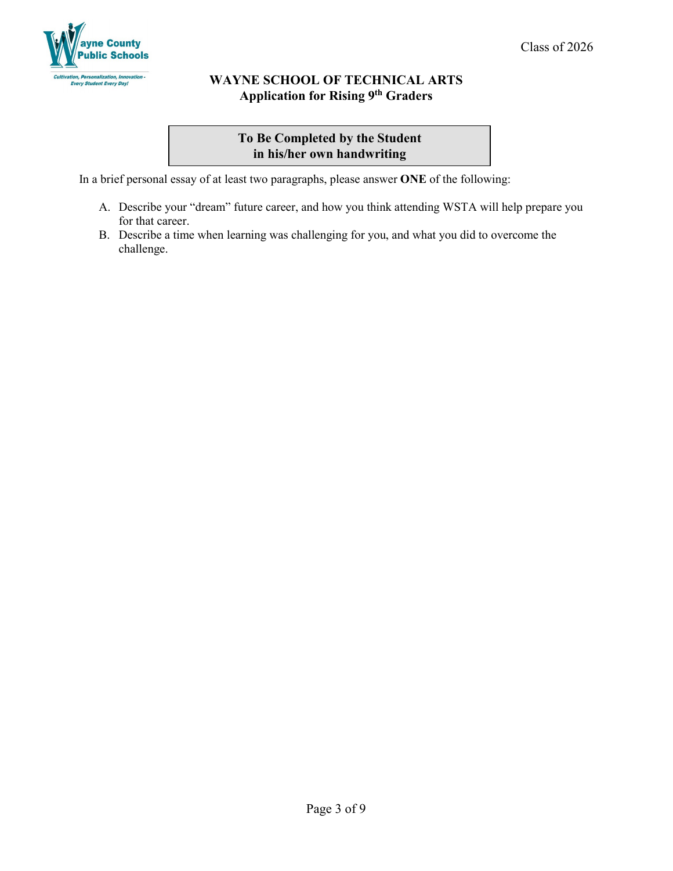

# **To Be Completed by the Student in his/her own handwriting**

In a brief personal essay of at least two paragraphs, please answer **ONE** of the following:

- A. Describe your "dream" future career, and how you think attending WSTA will help prepare you for that career.
- B. Describe a time when learning was challenging for you, and what you did to overcome the challenge.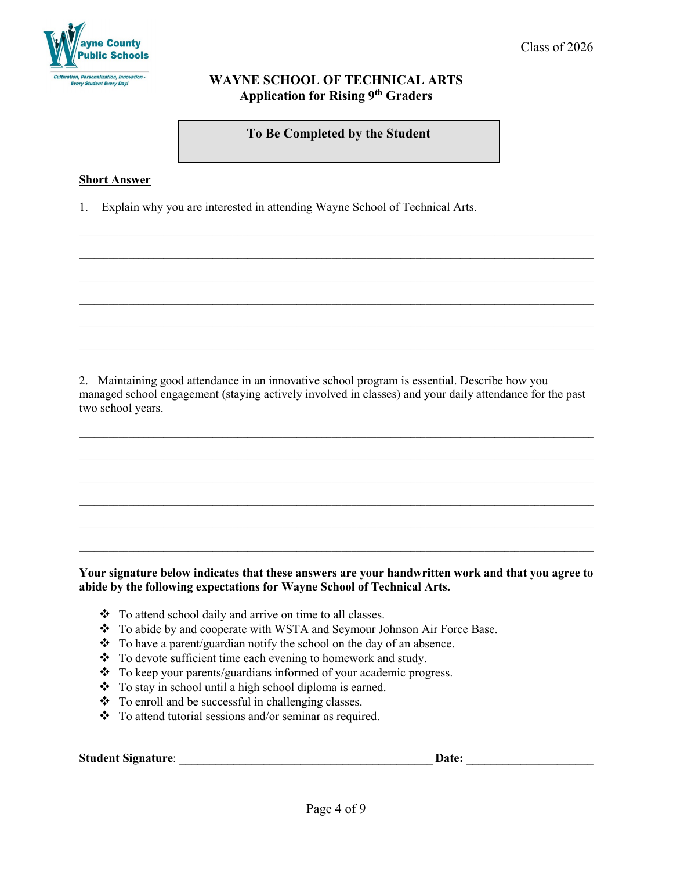

**To Be Completed by the Student**

 $\_$  ,  $\_$  ,  $\_$  ,  $\_$  ,  $\_$  ,  $\_$  ,  $\_$  ,  $\_$  ,  $\_$  ,  $\_$  ,  $\_$  ,  $\_$  ,  $\_$  ,  $\_$  ,  $\_$  ,  $\_$  ,  $\_$  ,  $\_$  ,  $\_$  ,  $\_$  ,  $\_$  ,  $\_$  ,  $\_$  ,  $\_$  ,  $\_$  ,  $\_$  ,  $\_$  ,  $\_$  ,  $\_$  ,  $\_$  ,  $\_$  ,  $\_$  ,  $\_$  ,  $\_$  ,  $\_$  ,  $\_$  ,  $\_$  ,

 $\_$  ,  $\_$  ,  $\_$  ,  $\_$  ,  $\_$  ,  $\_$  ,  $\_$  ,  $\_$  ,  $\_$  ,  $\_$  ,  $\_$  ,  $\_$  ,  $\_$  ,  $\_$  ,  $\_$  ,  $\_$  ,  $\_$  ,  $\_$  ,  $\_$  ,  $\_$  ,  $\_$  ,  $\_$  ,  $\_$  ,  $\_$  ,  $\_$  ,  $\_$  ,  $\_$  ,  $\_$  ,  $\_$  ,  $\_$  ,  $\_$  ,  $\_$  ,  $\_$  ,  $\_$  ,  $\_$  ,  $\_$  ,  $\_$  ,

 $\_$  ,  $\_$  ,  $\_$  ,  $\_$  ,  $\_$  ,  $\_$  ,  $\_$  ,  $\_$  ,  $\_$  ,  $\_$  ,  $\_$  ,  $\_$  ,  $\_$  ,  $\_$  ,  $\_$  ,  $\_$  ,  $\_$  ,  $\_$  ,  $\_$  ,  $\_$  ,  $\_$  ,  $\_$  ,  $\_$  ,  $\_$  ,  $\_$  ,  $\_$  ,  $\_$  ,  $\_$  ,  $\_$  ,  $\_$  ,  $\_$  ,  $\_$  ,  $\_$  ,  $\_$  ,  $\_$  ,  $\_$  ,  $\_$  ,

 $\_$  ,  $\_$  ,  $\_$  ,  $\_$  ,  $\_$  ,  $\_$  ,  $\_$  ,  $\_$  ,  $\_$  ,  $\_$  ,  $\_$  ,  $\_$  ,  $\_$  ,  $\_$  ,  $\_$  ,  $\_$  ,  $\_$  ,  $\_$  ,  $\_$  ,  $\_$  ,  $\_$  ,  $\_$  ,  $\_$  ,  $\_$  ,  $\_$  ,  $\_$  ,  $\_$  ,  $\_$  ,  $\_$  ,  $\_$  ,  $\_$  ,  $\_$  ,  $\_$  ,  $\_$  ,  $\_$  ,  $\_$  ,  $\_$  ,

#### **Short Answer**

1. Explain why you are interested in attending Wayne School of Technical Arts.

2. Maintaining good attendance in an innovative school program is essential. Describe how you managed school engagement (staying actively involved in classes) and your daily attendance for the past two school years.

 $\_$  ,  $\_$  ,  $\_$  ,  $\_$  ,  $\_$  ,  $\_$  ,  $\_$  ,  $\_$  ,  $\_$  ,  $\_$  ,  $\_$  ,  $\_$  ,  $\_$  ,  $\_$  ,  $\_$  ,  $\_$  ,  $\_$  ,  $\_$  ,  $\_$  ,  $\_$  ,  $\_$  ,  $\_$  ,  $\_$  ,  $\_$  ,  $\_$  ,  $\_$  ,  $\_$  ,  $\_$  ,  $\_$  ,  $\_$  ,  $\_$  ,  $\_$  ,  $\_$  ,  $\_$  ,  $\_$  ,  $\_$  ,  $\_$  ,

 $\_$  ,  $\_$  ,  $\_$  ,  $\_$  ,  $\_$  ,  $\_$  ,  $\_$  ,  $\_$  ,  $\_$  ,  $\_$  ,  $\_$  ,  $\_$  ,  $\_$  ,  $\_$  ,  $\_$  ,  $\_$  ,  $\_$  ,  $\_$  ,  $\_$  ,  $\_$  ,  $\_$  ,  $\_$  ,  $\_$  ,  $\_$  ,  $\_$  ,  $\_$  ,  $\_$  ,  $\_$  ,  $\_$  ,  $\_$  ,  $\_$  ,  $\_$  ,  $\_$  ,  $\_$  ,  $\_$  ,  $\_$  ,  $\_$  ,

 $\_$  ,  $\_$  ,  $\_$  ,  $\_$  ,  $\_$  ,  $\_$  ,  $\_$  ,  $\_$  ,  $\_$  ,  $\_$  ,  $\_$  ,  $\_$  ,  $\_$  ,  $\_$  ,  $\_$  ,  $\_$  ,  $\_$  ,  $\_$  ,  $\_$  ,  $\_$  ,  $\_$  ,  $\_$  ,  $\_$  ,  $\_$  ,  $\_$  ,  $\_$  ,  $\_$  ,  $\_$  ,  $\_$  ,  $\_$  ,  $\_$  ,  $\_$  ,  $\_$  ,  $\_$  ,  $\_$  ,  $\_$  ,  $\_$  ,

 $\_$  ,  $\_$  ,  $\_$  ,  $\_$  ,  $\_$  ,  $\_$  ,  $\_$  ,  $\_$  ,  $\_$  ,  $\_$  ,  $\_$  ,  $\_$  ,  $\_$  ,  $\_$  ,  $\_$  ,  $\_$  ,  $\_$  ,  $\_$  ,  $\_$  ,  $\_$  ,  $\_$  ,  $\_$  ,  $\_$  ,  $\_$  ,  $\_$  ,  $\_$  ,  $\_$  ,  $\_$  ,  $\_$  ,  $\_$  ,  $\_$  ,  $\_$  ,  $\_$  ,  $\_$  ,  $\_$  ,  $\_$  ,  $\_$  ,

 $\_$  ,  $\_$  ,  $\_$  ,  $\_$  ,  $\_$  ,  $\_$  ,  $\_$  ,  $\_$  ,  $\_$  ,  $\_$  ,  $\_$  ,  $\_$  ,  $\_$  ,  $\_$  ,  $\_$  ,  $\_$  ,  $\_$  ,  $\_$  ,  $\_$  ,  $\_$  ,  $\_$  ,  $\_$  ,  $\_$  ,  $\_$  ,  $\_$  ,  $\_$  ,  $\_$  ,  $\_$  ,  $\_$  ,  $\_$  ,  $\_$  ,  $\_$  ,  $\_$  ,  $\_$  ,  $\_$  ,  $\_$  ,  $\_$  ,

#### **Your signature below indicates that these answers are your handwritten work and that you agree to abide by the following expectations for Wayne School of Technical Arts.**

- \* To attend school daily and arrive on time to all classes.
- \* To abide by and cooperate with WSTA and Seymour Johnson Air Force Base.
- $\bullet$  To have a parent/guardian notify the school on the day of an absence.
- \* To devote sufficient time each evening to homework and study.
- \* To keep your parents/guardians informed of your academic progress.
- \* To stay in school until a high school diploma is earned.
- \* To enroll and be successful in challenging classes.
- \* To attend tutorial sessions and/or seminar as required.

**Student Signature**: \_\_\_\_\_\_\_\_\_\_\_\_\_\_\_\_\_\_\_\_\_\_\_\_\_\_\_\_\_\_\_\_\_\_\_\_\_\_\_\_\_\_ **Date:** \_\_\_\_\_\_\_\_\_\_\_\_\_\_\_\_\_\_\_\_\_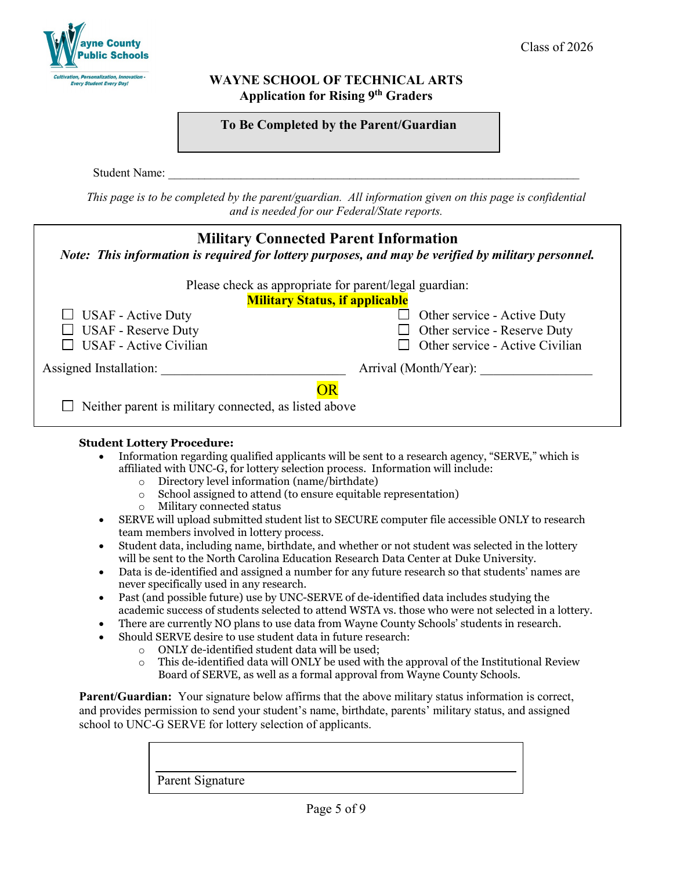

| To Be Completed by the Parent/Guardian |  |
|----------------------------------------|--|
|----------------------------------------|--|

Student Name:

*This page is to be completed by the parent/guardian. All information given on this page is confidential and is needed for our Federal/State reports.*

|                                                       | <b>Military Connected Parent Information</b><br>Note: This information is required for lottery purposes, and may be verified by military personnel. |  |
|-------------------------------------------------------|-----------------------------------------------------------------------------------------------------------------------------------------------------|--|
|                                                       | Please check as appropriate for parent/legal guardian:                                                                                              |  |
|                                                       | <b>Military Status, if applicable</b>                                                                                                               |  |
| $\Box$ USAF - Active Duty                             | Other service - Active Duty<br>$\mathsf{L}$                                                                                                         |  |
| <b>USAF</b> - Reserve Duty                            | Other service - Reserve Duty<br>$\Box$                                                                                                              |  |
| <b>USAF</b> - Active Civilian                         | Other service - Active Civilian                                                                                                                     |  |
| Assigned Installation:                                | Arrival (Month/Year):                                                                                                                               |  |
| Neither parent is military connected, as listed above |                                                                                                                                                     |  |

### **Student Lottery Procedure:**

- Information regarding qualified applicants will be sent to a research agency, "SERVE," which is affiliated with UNC-G, for lottery selection process. Information will include:
	- $\circ$  Directory level information (name/birthdate)<br> $\circ$  School assigned to attend (to ensure equitable
	- $\circ$  School assigned to attend (to ensure equitable representation)<br>  $\circ$  Military connected status
	- Military connected status
- SERVE will upload submitted student list to SECURE computer file accessible ONLY to research team members involved in lottery process.
- Student data, including name, birthdate, and whether or not student was selected in the lottery will be sent to the North Carolina Education Research Data Center at Duke University.
- Data is de-identified and assigned a number for any future research so that students' names are never specifically used in any research.
- Past (and possible future) use by UNC-SERVE of de-identified data includes studying the academic success of students selected to attend WSTA vs. those who were not selected in a lottery.
- There are currently NO plans to use data from Wayne County Schools' students in research.
- Should SERVE desire to use student data in future research:
	- $\circ$  ONLY de-identified student data will be used;<br> $\circ$  This de-identified data will ONLY be used with
	- This de-identified data will ONLY be used with the approval of the Institutional Review Board of SERVE, as well as a formal approval from Wayne County Schools.

**Parent/Guardian:** Your signature below affirms that the above military status information is correct, and provides permission to send your student's name, birthdate, parents' military status, and assigned school to UNC-G SERVE for lottery selection of applicants.

Parent Signature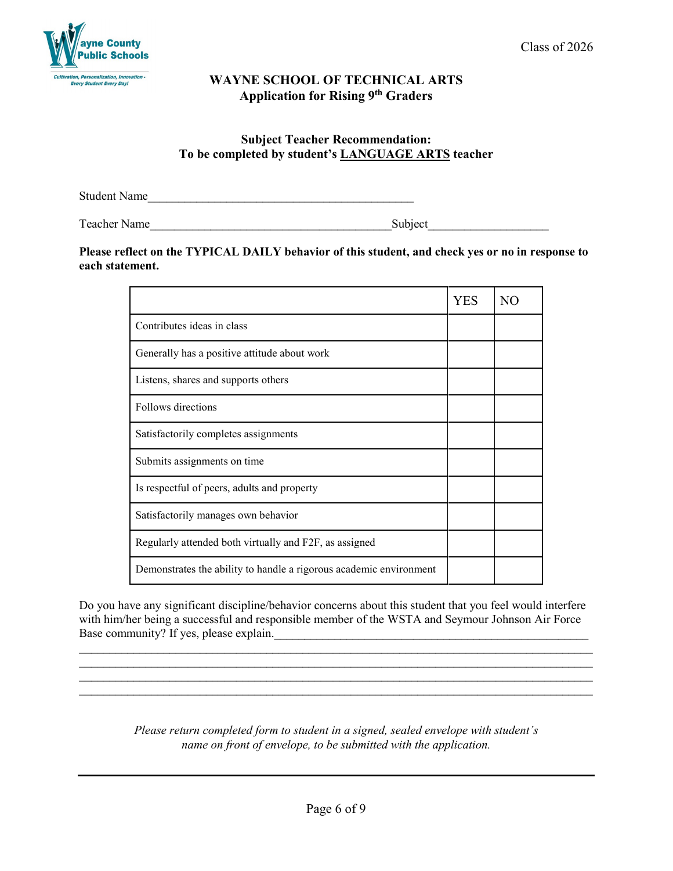

# **Subject Teacher Recommendation: To be completed by student's LANGUAGE ARTS teacher**

Student Name

Teacher Name **Subject** 

# **Please reflect on the TYPICAL DAILY behavior of this student, and check yes or no in response to each statement.**

|                                                                    | YES | N <sub>O</sub> |
|--------------------------------------------------------------------|-----|----------------|
| Contributes ideas in class                                         |     |                |
| Generally has a positive attitude about work                       |     |                |
| Listens, shares and supports others                                |     |                |
| Follows directions                                                 |     |                |
| Satisfactorily completes assignments                               |     |                |
| Submits assignments on time                                        |     |                |
| Is respectful of peers, adults and property                        |     |                |
| Satisfactorily manages own behavior                                |     |                |
| Regularly attended both virtually and F2F, as assigned             |     |                |
| Demonstrates the ability to handle a rigorous academic environment |     |                |

Do you have any significant discipline/behavior concerns about this student that you feel would interfere with him/her being a successful and responsible member of the WSTA and Seymour Johnson Air Force Base community? If yes, please explain.

\_\_\_\_\_\_\_\_\_\_\_\_\_\_\_\_\_\_\_\_\_\_\_\_\_\_\_\_\_\_\_\_\_\_\_\_\_\_\_\_\_\_\_\_\_\_\_\_\_\_\_\_\_\_\_\_\_\_\_\_\_\_\_\_\_\_\_\_\_\_\_\_\_\_\_\_\_\_\_\_\_\_\_\_\_ \_\_\_\_\_\_\_\_\_\_\_\_\_\_\_\_\_\_\_\_\_\_\_\_\_\_\_\_\_\_\_\_\_\_\_\_\_\_\_\_\_\_\_\_\_\_\_\_\_\_\_\_\_\_\_\_\_\_\_\_\_\_\_\_\_\_\_\_\_\_\_\_\_\_\_\_\_\_\_\_\_\_\_\_\_  $\_$  , and the set of the set of the set of the set of the set of the set of the set of the set of the set of the set of the set of the set of the set of the set of the set of the set of the set of the set of the set of th

> *Please return completed form to student in a signed, sealed envelope with student's name on front of envelope, to be submitted with the application.*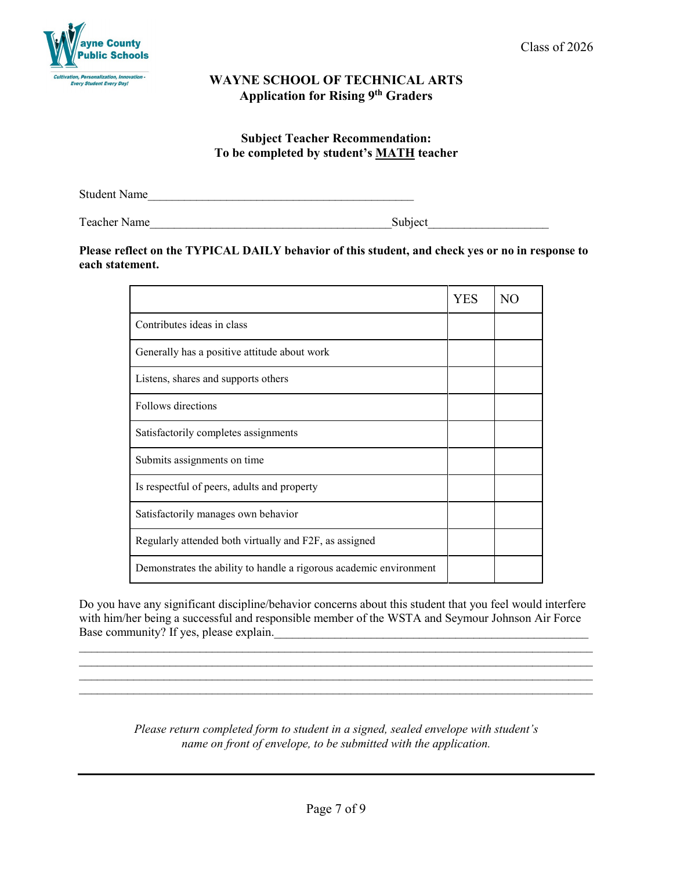

## **Subject Teacher Recommendation: To be completed by student's MATH teacher**

Student Name

Teacher Name\_\_\_\_\_\_\_\_\_\_\_\_\_\_\_\_\_\_\_\_\_\_\_\_\_\_\_\_\_\_\_\_\_\_\_\_\_\_\_\_Subject\_\_\_\_\_\_\_\_\_\_\_\_\_\_\_\_\_\_\_\_

#### **Please reflect on the TYPICAL DAILY behavior of this student, and check yes or no in response to each statement.**

|                                                                    | <b>YES</b> | NO. |
|--------------------------------------------------------------------|------------|-----|
| Contributes ideas in class                                         |            |     |
| Generally has a positive attitude about work                       |            |     |
| Listens, shares and supports others                                |            |     |
| Follows directions                                                 |            |     |
| Satisfactorily completes assignments                               |            |     |
| Submits assignments on time.                                       |            |     |
| Is respectful of peers, adults and property                        |            |     |
| Satisfactorily manages own behavior                                |            |     |
| Regularly attended both virtually and F2F, as assigned             |            |     |
| Demonstrates the ability to handle a rigorous academic environment |            |     |

Do you have any significant discipline/behavior concerns about this student that you feel would interfere with him/her being a successful and responsible member of the WSTA and Seymour Johnson Air Force Base community? If yes, please explain.

 $\_$  , and the set of the set of the set of the set of the set of the set of the set of the set of the set of the set of the set of the set of the set of the set of the set of the set of the set of the set of the set of th

 $\_$  , and the set of the set of the set of the set of the set of the set of the set of the set of the set of the set of the set of the set of the set of the set of the set of the set of the set of the set of the set of th  $\_$  , and the set of the set of the set of the set of the set of the set of the set of the set of the set of the set of the set of the set of the set of the set of the set of the set of the set of the set of the set of th

> *Please return completed form to student in a signed, sealed envelope with student's name on front of envelope, to be submitted with the application.*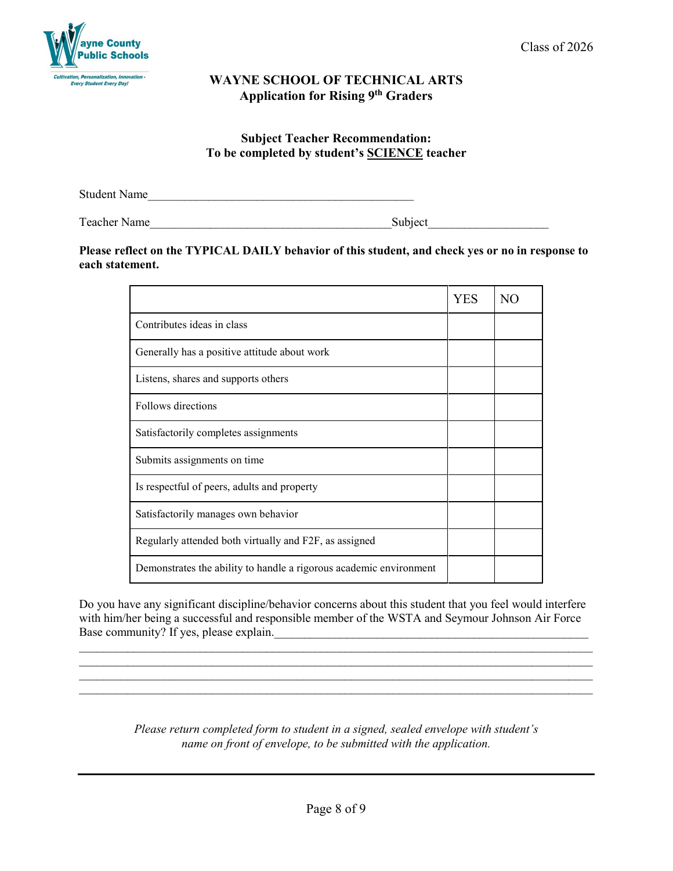

### **Subject Teacher Recommendation: To be completed by student's SCIENCE teacher**

Student Name

Teacher Name\_\_\_\_\_\_\_\_\_\_\_\_\_\_\_\_\_\_\_\_\_\_\_\_\_\_\_\_\_\_\_\_\_\_\_\_\_\_\_\_Subject\_\_\_\_\_\_\_\_\_\_\_\_\_\_\_\_\_\_\_\_

### **Please reflect on the TYPICAL DAILY behavior of this student, and check yes or no in response to each statement.**

|                                                                    | <b>YES</b> | NO. |
|--------------------------------------------------------------------|------------|-----|
| Contributes ideas in class                                         |            |     |
| Generally has a positive attitude about work                       |            |     |
| Listens, shares and supports others                                |            |     |
| Follows directions                                                 |            |     |
| Satisfactorily completes assignments                               |            |     |
| Submits assignments on time.                                       |            |     |
| Is respectful of peers, adults and property                        |            |     |
| Satisfactorily manages own behavior                                |            |     |
| Regularly attended both virtually and F2F, as assigned             |            |     |
| Demonstrates the ability to handle a rigorous academic environment |            |     |

Do you have any significant discipline/behavior concerns about this student that you feel would interfere with him/her being a successful and responsible member of the WSTA and Seymour Johnson Air Force Base community? If yes, please explain.\_\_\_\_\_\_\_\_\_\_\_\_\_\_\_\_\_\_\_\_\_\_\_\_\_\_\_\_\_\_\_\_\_\_\_\_\_\_\_\_\_\_\_\_\_\_\_\_\_\_\_\_

 $\_$  , and the set of the set of the set of the set of the set of the set of the set of the set of the set of the set of the set of the set of the set of the set of the set of the set of the set of the set of the set of th

 $\_$  , and the set of the set of the set of the set of the set of the set of the set of the set of the set of the set of the set of the set of the set of the set of the set of the set of the set of the set of the set of th  $\_$  , and the set of the set of the set of the set of the set of the set of the set of the set of the set of the set of the set of the set of the set of the set of the set of the set of the set of the set of the set of th

> *Please return completed form to student in a signed, sealed envelope with student's name on front of envelope, to be submitted with the application.*